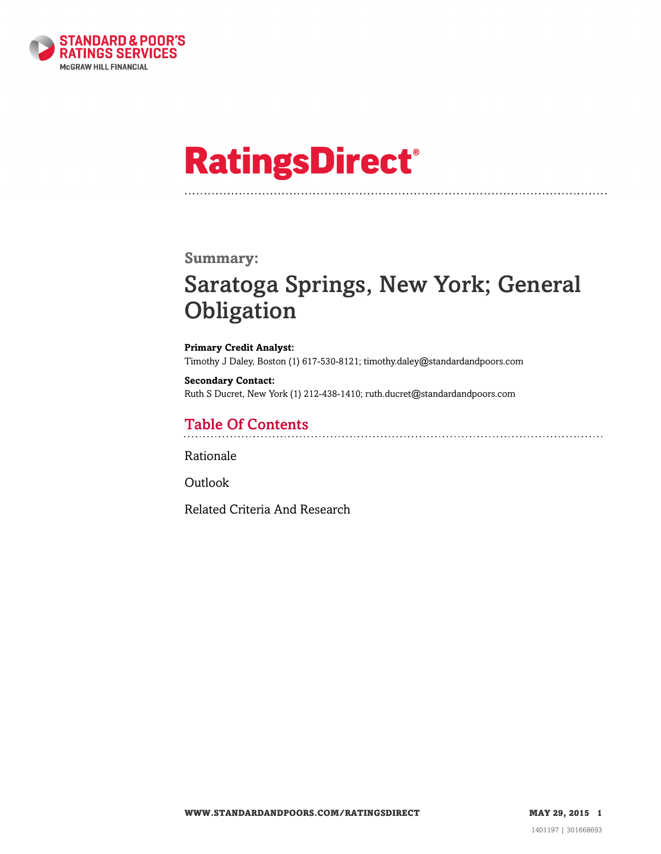

# **RatingsDirect®**

### **Summary:**

# Saratoga Springs, New York; General **Obligation**

**Primary Credit Analyst:** Timothy J Daley, Boston (1) 617-530-8121; timothy.daley@standardandpoors.com

**Secondary Contact:** Ruth S Ducret, New York (1) 212-438-1410; ruth.ducret@standardandpoors.com

# Table Of Contents

[Rationale](#page-1-0)

[Outlook](#page-4-0)

[Related Criteria And Research](#page-5-0)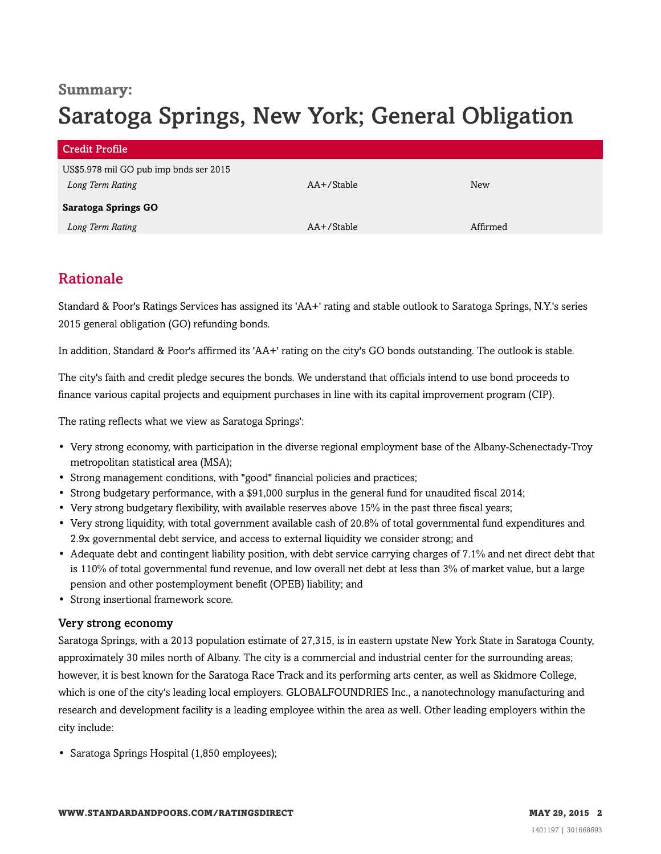## **Summary:**

# Saratoga Springs, New York; General Obligation

| Credit Profile                         |            |            |
|----------------------------------------|------------|------------|
| US\$5.978 mil GO pub imp bnds ser 2015 |            |            |
| Long Term Rating                       | AA+/Stable | <b>New</b> |
| Saratoga Springs GO                    |            |            |
| Long Term Rating                       | AA+/Stable | Affirmed   |

# <span id="page-1-0"></span>Rationale

Standard & Poor's Ratings Services has assigned its 'AA+' rating and stable outlook to Saratoga Springs, N.Y.'s series 2015 general obligation (GO) refunding bonds.

In addition, Standard & Poor's affirmed its 'AA+' rating on the city's GO bonds outstanding. The outlook is stable.

The city's faith and credit pledge secures the bonds. We understand that officials intend to use bond proceeds to finance various capital projects and equipment purchases in line with its capital improvement program (CIP).

The rating reflects what we view as Saratoga Springs':

- Very strong economy, with participation in the diverse regional employment base of the Albany-Schenectady-Troy metropolitan statistical area (MSA);
- Strong management conditions, with "good" financial policies and practices;
- Strong budgetary performance, with a \$91,000 surplus in the general fund for unaudited fiscal 2014;
- Very strong budgetary flexibility, with available reserves above 15% in the past three fiscal years;
- Very strong liquidity, with total government available cash of 20.8% of total governmental fund expenditures and 2.9x governmental debt service, and access to external liquidity we consider strong; and
- Adequate debt and contingent liability position, with debt service carrying charges of 7.1% and net direct debt that is 110% of total governmental fund revenue, and low overall net debt at less than 3% of market value, but a large pension and other postemployment benefit (OPEB) liability; and
- Strong insertional framework score.

#### Very strong economy

Saratoga Springs, with a 2013 population estimate of 27,315, is in eastern upstate New York State in Saratoga County, approximately 30 miles north of Albany. The city is a commercial and industrial center for the surrounding areas; however, it is best known for the Saratoga Race Track and its performing arts center, as well as Skidmore College, which is one of the city's leading local employers. GLOBALFOUNDRIES Inc., a nanotechnology manufacturing and research and development facility is a leading employee within the area as well. Other leading employers within the city include:

• Saratoga Springs Hospital (1,850 employees);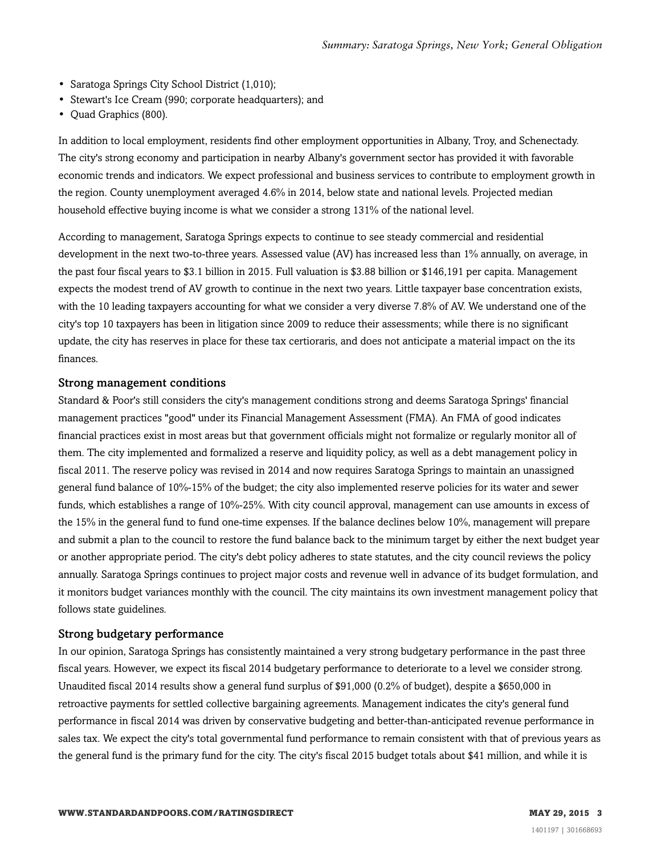- Saratoga Springs City School District (1,010);
- Stewart's Ice Cream (990; corporate headquarters); and
- Quad Graphics (800).

In addition to local employment, residents find other employment opportunities in Albany, Troy, and Schenectady. The city's strong economy and participation in nearby Albany's government sector has provided it with favorable economic trends and indicators. We expect professional and business services to contribute to employment growth in the region. County unemployment averaged 4.6% in 2014, below state and national levels. Projected median household effective buying income is what we consider a strong 131% of the national level.

According to management, Saratoga Springs expects to continue to see steady commercial and residential development in the next two-to-three years. Assessed value (AV) has increased less than 1% annually, on average, in the past four fiscal years to \$3.1 billion in 2015. Full valuation is \$3.88 billion or \$146,191 per capita. Management expects the modest trend of AV growth to continue in the next two years. Little taxpayer base concentration exists, with the 10 leading taxpayers accounting for what we consider a very diverse 7.8% of AV. We understand one of the city's top 10 taxpayers has been in litigation since 2009 to reduce their assessments; while there is no significant update, the city has reserves in place for these tax certioraris, and does not anticipate a material impact on the its finances.

#### Strong management conditions

Standard & Poor's still considers the city's management conditions strong and deems Saratoga Springs' financial management practices "good" under its Financial Management Assessment (FMA). An FMA of good indicates financial practices exist in most areas but that government officials might not formalize or regularly monitor all of them. The city implemented and formalized a reserve and liquidity policy, as well as a debt management policy in fiscal 2011. The reserve policy was revised in 2014 and now requires Saratoga Springs to maintain an unassigned general fund balance of 10%-15% of the budget; the city also implemented reserve policies for its water and sewer funds, which establishes a range of 10%-25%. With city council approval, management can use amounts in excess of the 15% in the general fund to fund one-time expenses. If the balance declines below 10%, management will prepare and submit a plan to the council to restore the fund balance back to the minimum target by either the next budget year or another appropriate period. The city's debt policy adheres to state statutes, and the city council reviews the policy annually. Saratoga Springs continues to project major costs and revenue well in advance of its budget formulation, and it monitors budget variances monthly with the council. The city maintains its own investment management policy that follows state guidelines.

#### Strong budgetary performance

In our opinion, Saratoga Springs has consistently maintained a very strong budgetary performance in the past three fiscal years. However, we expect its fiscal 2014 budgetary performance to deteriorate to a level we consider strong. Unaudited fiscal 2014 results show a general fund surplus of \$91,000 (0.2% of budget), despite a \$650,000 in retroactive payments for settled collective bargaining agreements. Management indicates the city's general fund performance in fiscal 2014 was driven by conservative budgeting and better-than-anticipated revenue performance in sales tax. We expect the city's total governmental fund performance to remain consistent with that of previous years as the general fund is the primary fund for the city. The city's fiscal 2015 budget totals about \$41 million, and while it is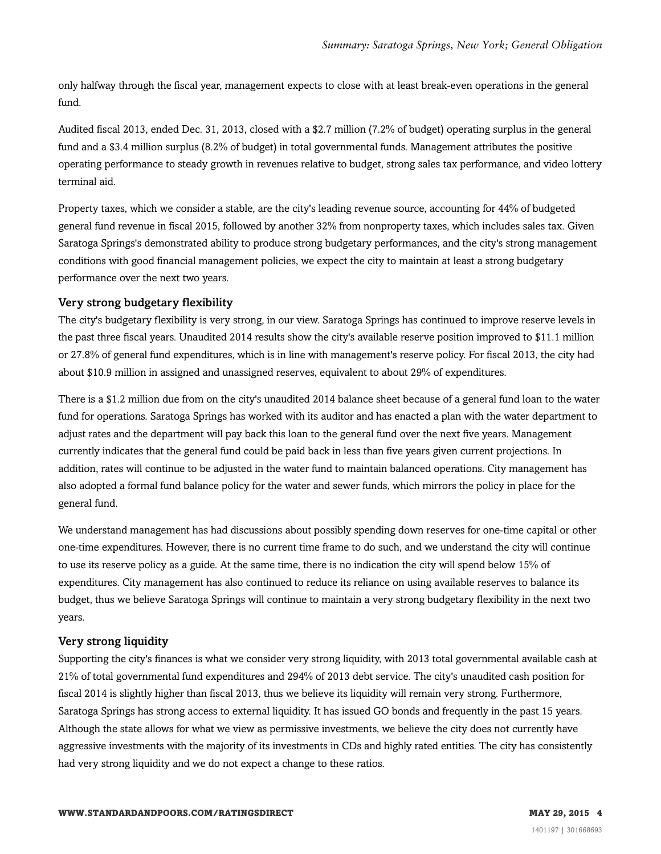only halfway through the fiscal year, management expects to close with at least break-even operations in the general fund.

Audited fiscal 2013, ended Dec. 31, 2013, closed with a \$2.7 million (7.2% of budget) operating surplus in the general fund and a \$3.4 million surplus (8.2% of budget) in total governmental funds. Management attributes the positive operating performance to steady growth in revenues relative to budget, strong sales tax performance, and video lottery terminal aid.

Property taxes, which we consider a stable, are the city's leading revenue source, accounting for 44% of budgeted general fund revenue in fiscal 2015, followed by another 32% from nonproperty taxes, which includes sales tax. Given Saratoga Springs's demonstrated ability to produce strong budgetary performances, and the city's strong management conditions with good financial management policies, we expect the city to maintain at least a strong budgetary performance over the next two years.

#### Very strong budgetary flexibility

The city's budgetary flexibility is very strong, in our view. Saratoga Springs has continued to improve reserve levels in the past three fiscal years. Unaudited 2014 results show the city's available reserve position improved to \$11.1 million or 27.8% of general fund expenditures, which is in line with management's reserve policy. For fiscal 2013, the city had about \$10.9 million in assigned and unassigned reserves, equivalent to about 29% of expenditures.

There is a \$1.2 million due from on the city's unaudited 2014 balance sheet because of a general fund loan to the water fund for operations. Saratoga Springs has worked with its auditor and has enacted a plan with the water department to adjust rates and the department will pay back this loan to the general fund over the next five years. Management currently indicates that the general fund could be paid back in less than five years given current projections. In addition, rates will continue to be adjusted in the water fund to maintain balanced operations. City management has also adopted a formal fund balance policy for the water and sewer funds, which mirrors the policy in place for the general fund.

We understand management has had discussions about possibly spending down reserves for one-time capital or other one-time expenditures. However, there is no current time frame to do such, and we understand the city will continue to use its reserve policy as a guide. At the same time, there is no indication the city will spend below 15% of expenditures. City management has also continued to reduce its reliance on using available reserves to balance its budget, thus we believe Saratoga Springs will continue to maintain a very strong budgetary flexibility in the next two years.

#### Very strong liquidity

Supporting the city's finances is what we consider very strong liquidity, with 2013 total governmental available cash at 21% of total governmental fund expenditures and 294% of 2013 debt service. The city's unaudited cash position for fiscal 2014 is slightly higher than fiscal 2013, thus we believe its liquidity will remain very strong. Furthermore, Saratoga Springs has strong access to external liquidity. It has issued GO bonds and frequently in the past 15 years. Although the state allows for what we view as permissive investments, we believe the city does not currently have aggressive investments with the majority of its investments in CDs and highly rated entities. The city has consistently had very strong liquidity and we do not expect a change to these ratios.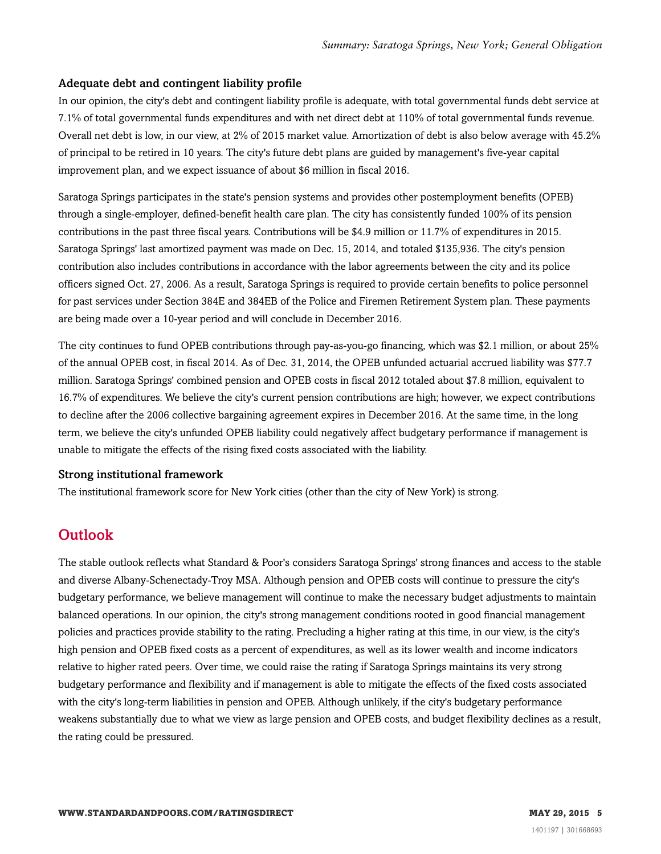#### Adequate debt and contingent liability profile

In our opinion, the city's debt and contingent liability profile is adequate, with total governmental funds debt service at 7.1% of total governmental funds expenditures and with net direct debt at 110% of total governmental funds revenue. Overall net debt is low, in our view, at 2% of 2015 market value. Amortization of debt is also below average with 45.2% of principal to be retired in 10 years. The city's future debt plans are guided by management's five-year capital improvement plan, and we expect issuance of about \$6 million in fiscal 2016.

Saratoga Springs participates in the state's pension systems and provides other postemployment benefits (OPEB) through a single-employer, defined-benefit health care plan. The city has consistently funded 100% of its pension contributions in the past three fiscal years. Contributions will be \$4.9 million or 11.7% of expenditures in 2015. Saratoga Springs' last amortized payment was made on Dec. 15, 2014, and totaled \$135,936. The city's pension contribution also includes contributions in accordance with the labor agreements between the city and its police officers signed Oct. 27, 2006. As a result, Saratoga Springs is required to provide certain benefits to police personnel for past services under Section 384E and 384EB of the Police and Firemen Retirement System plan. These payments are being made over a 10-year period and will conclude in December 2016.

The city continues to fund OPEB contributions through pay-as-you-go financing, which was \$2.1 million, or about 25% of the annual OPEB cost, in fiscal 2014. As of Dec. 31, 2014, the OPEB unfunded actuarial accrued liability was \$77.7 million. Saratoga Springs' combined pension and OPEB costs in fiscal 2012 totaled about \$7.8 million, equivalent to 16.7% of expenditures. We believe the city's current pension contributions are high; however, we expect contributions to decline after the 2006 collective bargaining agreement expires in December 2016. At the same time, in the long term, we believe the city's unfunded OPEB liability could negatively affect budgetary performance if management is unable to mitigate the effects of the rising fixed costs associated with the liability.

#### Strong institutional framework

<span id="page-4-0"></span>The institutional framework score for New York cities (other than the city of New York) is strong.

### **Outlook**

The stable outlook reflects what Standard & Poor's considers Saratoga Springs' strong finances and access to the stable and diverse Albany-Schenectady-Troy MSA. Although pension and OPEB costs will continue to pressure the city's budgetary performance, we believe management will continue to make the necessary budget adjustments to maintain balanced operations. In our opinion, the city's strong management conditions rooted in good financial management policies and practices provide stability to the rating. Precluding a higher rating at this time, in our view, is the city's high pension and OPEB fixed costs as a percent of expenditures, as well as its lower wealth and income indicators relative to higher rated peers. Over time, we could raise the rating if Saratoga Springs maintains its very strong budgetary performance and flexibility and if management is able to mitigate the effects of the fixed costs associated with the city's long-term liabilities in pension and OPEB. Although unlikely, if the city's budgetary performance weakens substantially due to what we view as large pension and OPEB costs, and budget flexibility declines as a result, the rating could be pressured.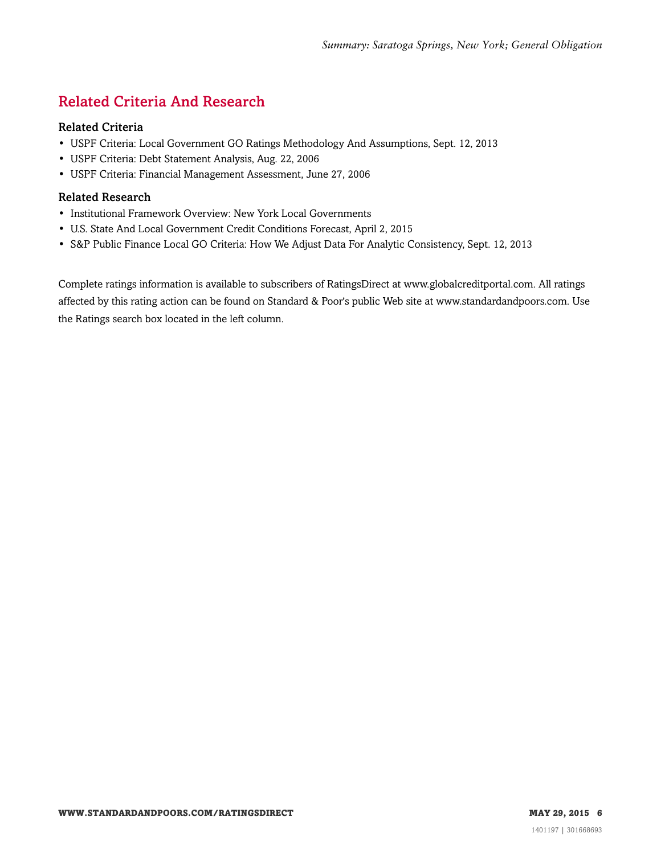# <span id="page-5-0"></span>Related Criteria And Research

#### Related Criteria

- USPF Criteria: Local Government GO Ratings Methodology And Assumptions, Sept. 12, 2013
- USPF Criteria: Debt Statement Analysis, Aug. 22, 2006
- USPF Criteria: Financial Management Assessment, June 27, 2006

#### Related Research

- Institutional Framework Overview: New York Local Governments
- U.S. State And Local Government Credit Conditions Forecast, April 2, 2015
- S&P Public Finance Local GO Criteria: How We Adjust Data For Analytic Consistency, Sept. 12, 2013

Complete ratings information is available to subscribers of RatingsDirect at www.globalcreditportal.com. All ratings affected by this rating action can be found on Standard & Poor's public Web site at www.standardandpoors.com. Use the Ratings search box located in the left column.